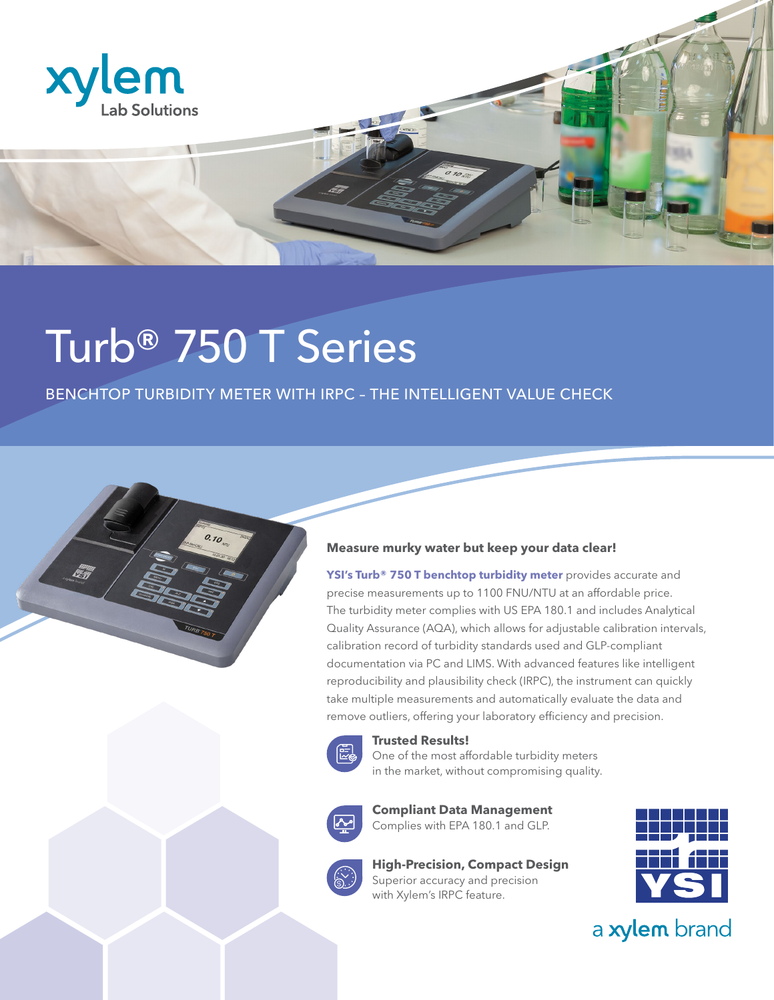

## Turb® 750 T Series

 $0.70$ 

## BENCHTOP TURBIDITY METER WITH IRPC – THE INTELLIGENT VALUE CHECK



**YSI's Turb® 750 T benchtop turbidity meter** provides accurate and precise measurements up to 1100 FNU/NTU at an affordable price. The turbidity meter complies with US EPA 180.1 and includes Analytical Quality Assurance (AQA), which allows for adjustable calibration intervals, calibration record of turbidity standards used and GLP-compliant documentation via PC and LIMS. With advanced features like intelligent reproducibility and plausibility check (IRPC), the instrument can quickly take multiple measurements and automatically evaluate the data and remove outliers, offering your laboratory efficiency and precision.



**Trusted Results!**

One of the most affordable turbidity meters in the market, without compromising quality.



**Compliant Data Management** Complies with EPA 180.1 and GLP.

**High-Precision, Compact Design**  Superior accuracy and precision with Xylem's IRPC feature.



a xylem brand